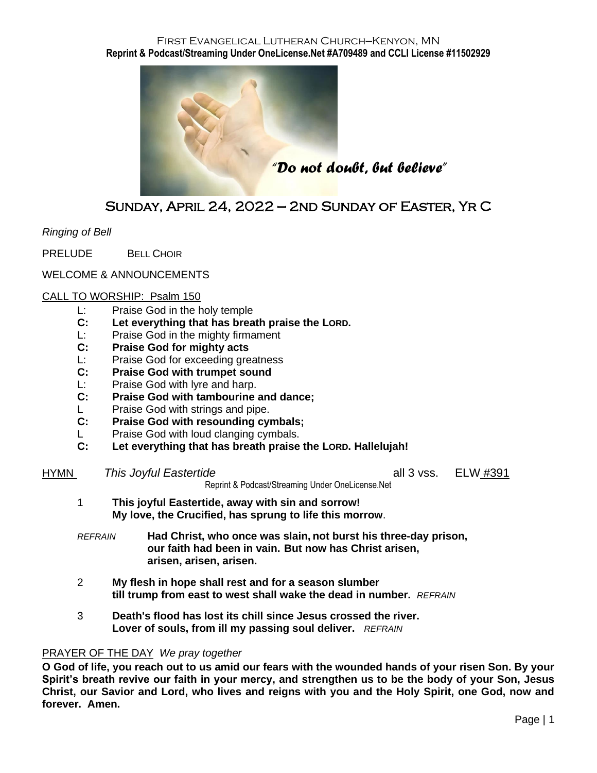### First Evangelical Lutheran Church—Kenyon, MN **Reprint & Podcast/Streaming Under OneLicense.Net #A709489 and CCLI License #11502929**



*"Do not doubt, but believe"*

# Sunday, April 24, 2022 — 2nd Sunday of Easter, Yr C

*Ringing of Bell*

PRELUDE BELL CHOIR

# WELCOME & ANNOUNCEMENTS

### CALL TO WORSHIP: Psalm 150

- L: Praise God in the holy temple
- **C: Let everything that has breath praise the LORD.**
- L: Praise God in the mighty firmament
- **C: Praise God for mighty acts**
- L: Praise God for exceeding greatness
- **C: Praise God with trumpet sound**
- L: Praise God with lyre and harp.
- **C: Praise God with tambourine and dance;**
- L Praise God with strings and pipe.
- **C: Praise God with resounding cymbals;**
- L Praise God with loud clanging cymbals.
- **C: Let everything that has breath praise the LORD. Hallelujah!**

HYMN *This Joyful Eastertide* all 3 vss. ELW #391

Reprint & Podcast/Streaming Under OneLicense.Net

- 1 **This joyful Eastertide, away with sin and sorrow! My love, the Crucified, has sprung to life this morrow**.
- *REFRAIN* **Had Christ, who once was slain, not burst his three-day prison, our faith had been in vain. But now has Christ arisen, arisen, arisen, arisen.**
- 2 **My flesh in hope shall rest and for a season slumber till trump from east to west shall wake the dead in number.** *REFRAIN*
- 3 **Death's flood has lost its chill since Jesus crossed the river. Lover of souls, from ill my passing soul deliver.** *REFRAIN*

# PRAYER OF THE DAY *We pray together*

**O God of life, you reach out to us amid our fears with the wounded hands of your risen Son. By your Spirit's breath revive our faith in your mercy, and strengthen us to be the body of your Son, Jesus Christ, our Savior and Lord, who lives and reigns with you and the Holy Spirit, one God, now and forever. Amen.**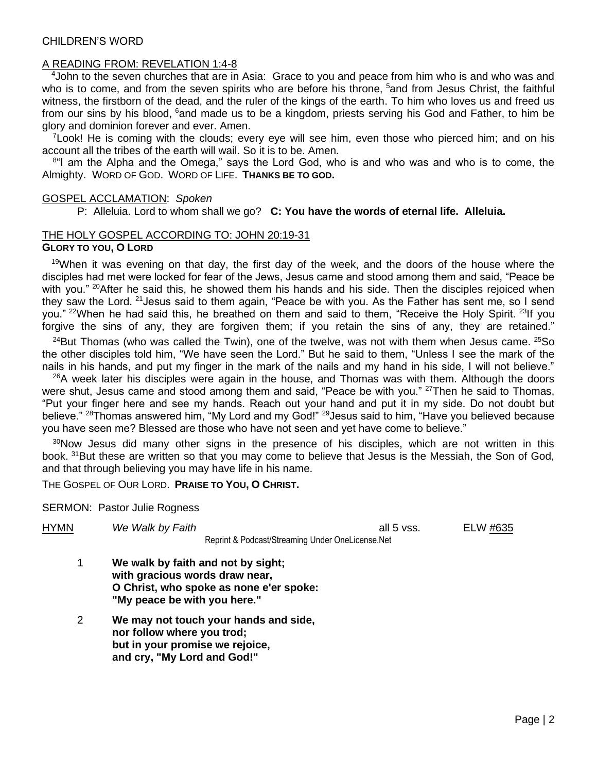# CHILDREN'S WORD

# A READING FROM: REVELATION 1:4-8

<sup>4</sup>John to the seven churches that are in Asia: Grace to you and peace from him who is and who was and who is to come, and from the seven spirits who are before his throne, <sup>5</sup>and from Jesus Christ, the faithful witness, the firstborn of the dead, and the ruler of the kings of the earth. To him who loves us and freed us from our sins by his blood, <sup>6</sup>and made us to be a kingdom, priests serving his God and Father, to him be glory and dominion forever and ever. Amen.

<sup>7</sup>Look! He is coming with the clouds; every eye will see him, even those who pierced him; and on his account all the tribes of the earth will wail. So it is to be. Amen.

<sup>8</sup>"I am the Alpha and the Omega," says the Lord God, who is and who was and who is to come, the Almighty. WORD OF GOD. WORD OF LIFE. **THANKS BE TO GOD.**

### GOSPEL ACCLAMATION: *Spoken*

P: Alleluia. Lord to whom shall we go? **C: You have the words of eternal life. Alleluia.**

#### THE HOLY GOSPEL ACCORDING TO: JOHN 20:19-31 **GLORY TO YOU, O LORD**

<sup>19</sup>When it was evening on that day, the first day of the week, and the doors of the house where the disciples had met were locked for fear of the Jews, Jesus came and stood among them and said, "Peace be with you." <sup>20</sup>After he said this, he showed them his hands and his side. Then the disciples rejoiced when they saw the Lord. <sup>21</sup> Jesus said to them again, "Peace be with you. As the Father has sent me, so I send you." <sup>22</sup>When he had said this, he breathed on them and said to them, "Receive the Holy Spirit. <sup>23</sup>If you forgive the sins of any, they are forgiven them; if you retain the sins of any, they are retained."

<sup>24</sup>But Thomas (who was called the Twin), one of the twelve, was not with them when Jesus came.  $25$ So the other disciples told him, "We have seen the Lord." But he said to them, "Unless I see the mark of the nails in his hands, and put my finger in the mark of the nails and my hand in his side, I will not believe."

 $26A$  week later his disciples were again in the house, and Thomas was with them. Although the doors were shut, Jesus came and stood among them and said, "Peace be with you." <sup>27</sup>Then he said to Thomas, "Put your finger here and see my hands. Reach out your hand and put it in my side. Do not doubt but believe." <sup>28</sup>Thomas answered him, "My Lord and my God!" <sup>29</sup>Jesus said to him, "Have you believed because you have seen me? Blessed are those who have not seen and yet have come to believe."

<sup>30</sup>Now Jesus did many other signs in the presence of his disciples, which are not written in this book. <sup>31</sup>But these are written so that you may come to believe that Jesus is the Messiah, the Son of God, and that through believing you may have life in his name.

THE GOSPEL OF OUR LORD. **PRAISE TO YOU, O CHRIST.**

SERMON: Pastor Julie Rogness

| HYMN |
|------|
|------|

HYMN *We Walk by Faith* all 5 vss. ELW #635 Reprint & Podcast/Streaming Under OneLicense.Net

- 1 **We walk by faith and not by sight; with gracious words draw near, O Christ, who spoke as none e'er spoke: "My peace be with you here."**
- 2 **We may not touch your hands and side, nor follow where you trod; but in your promise we rejoice, and cry, "My Lord and God!"**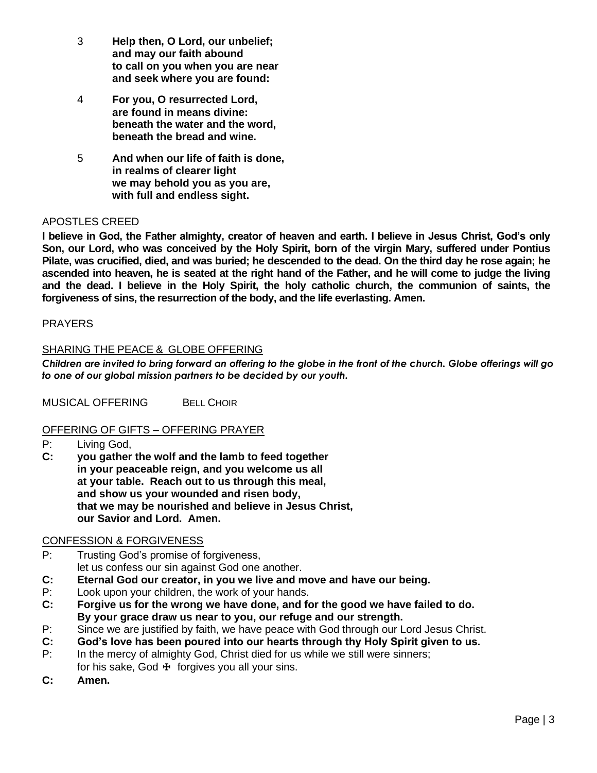- 3 **Help then, O Lord, our unbelief; and may our faith abound to call on you when you are near and seek where you are found:**
- 4 **For you, O resurrected Lord, are found in means divine: beneath the water and the word, beneath the bread and wine.**
- 5 **And when our life of faith is done, in realms of clearer light we may behold you as you are, with full and endless sight.**

# APOSTLES CREED

**I believe in God, the Father almighty, creator of heaven and earth. I believe in Jesus Christ, God's only Son, our Lord, who was conceived by the Holy Spirit, born of the virgin Mary, suffered under Pontius Pilate, was crucified, died, and was buried; he descended to the dead. On the third day he rose again; he ascended into heaven, he is seated at the right hand of the Father, and he will come to judge the living and the dead. I believe in the Holy Spirit, the holy catholic church, the communion of saints, the forgiveness of sins, the resurrection of the body, and the life everlasting. Amen.**

# PRAYERS

# SHARING THE PEACE & GLOBE OFFERING

*Children are invited to bring forward an offering to the globe in the front of the church. Globe offerings will go to one of our global mission partners to be decided by our youth.*

MUSICAL OFFERING BELL CHOIR

# OFFERING OF GIFTS – OFFERING PRAYER

- P: Living God,
- **C: you gather the wolf and the lamb to feed together in your peaceable reign, and you welcome us all at your table. Reach out to us through this meal, and show us your wounded and risen body, that we may be nourished and believe in Jesus Christ, our Savior and Lord. Amen.**

### CONFESSION & FORGIVENESS

- P: Trusting God's promise of forgiveness, let us confess our sin against God one another.
- **C: Eternal God our creator, in you we live and move and have our being.**
- P: Look upon your children, the work of your hands.
- **C: Forgive us for the wrong we have done, and for the good we have failed to do. By your grace draw us near to you, our refuge and our strength.**
- P: Since we are justified by faith, we have peace with God through our Lord Jesus Christ.
- **C: God's love has been poured into our hearts through thy Holy Spirit given to us.**
- P: In the mercy of almighty God, Christ died for us while we still were sinners; for his sake, God  $\pm$  forgives you all your sins.
- **C: Amen.**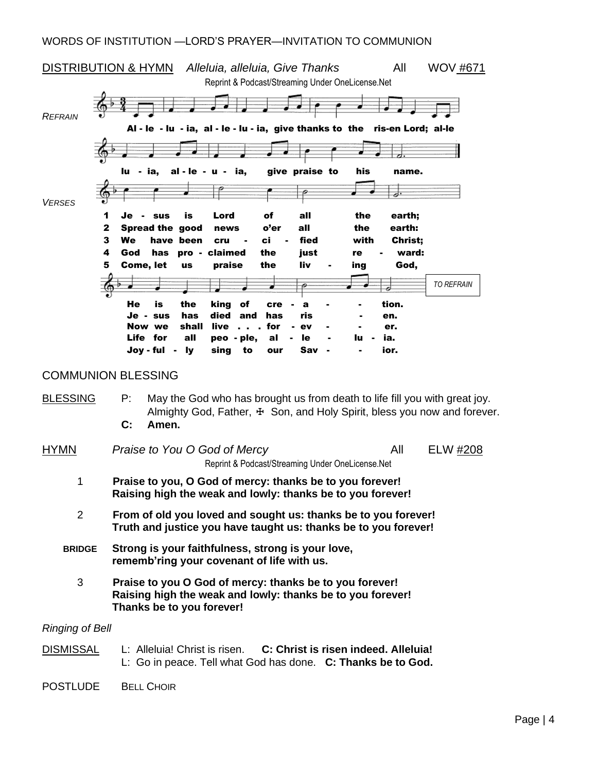# WORDS OF INSTITUTION —LORD'S PRAYER—INVITATION TO COMMUNION



# COMMUNION BLESSING

BLESSING P: May the God who has brought us from death to life fill you with great joy. Almighty God, Father, ⊕ Son, and Holy Spirit, bless you now and forever.  **C: Amen.**

| HYMN                   | Praise to You O God of Mercy<br>All<br>ELW #208<br>Reprint & Podcast/Streaming Under OneLicense.Net                                                |  |  |  |  |
|------------------------|----------------------------------------------------------------------------------------------------------------------------------------------------|--|--|--|--|
| 1                      | Praise to you, O God of mercy: thanks be to you forever!<br>Raising high the weak and lowly: thanks be to you forever!                             |  |  |  |  |
| $\overline{2}$         | From of old you loved and sought us: thanks be to you forever!<br>Truth and justice you have taught us: thanks be to you forever!                  |  |  |  |  |
| <b>BRIDGE</b>          | Strong is your faithfulness, strong is your love,<br>rememb'ring your covenant of life with us.                                                    |  |  |  |  |
| 3                      | Praise to you O God of mercy: thanks be to you forever!<br>Raising high the weak and lowly: thanks be to you forever!<br>Thanks be to you forever! |  |  |  |  |
| <b>Ringing of Bell</b> |                                                                                                                                                    |  |  |  |  |
| <b>DISMISSAL</b>       | L: Alleluia! Christ is risen. C: Christ is risen indeed. Alleluia!<br>L: Go in peace. Tell what God has done. C: Thanks be to God.                 |  |  |  |  |

POSTLUDE BELL CHOIR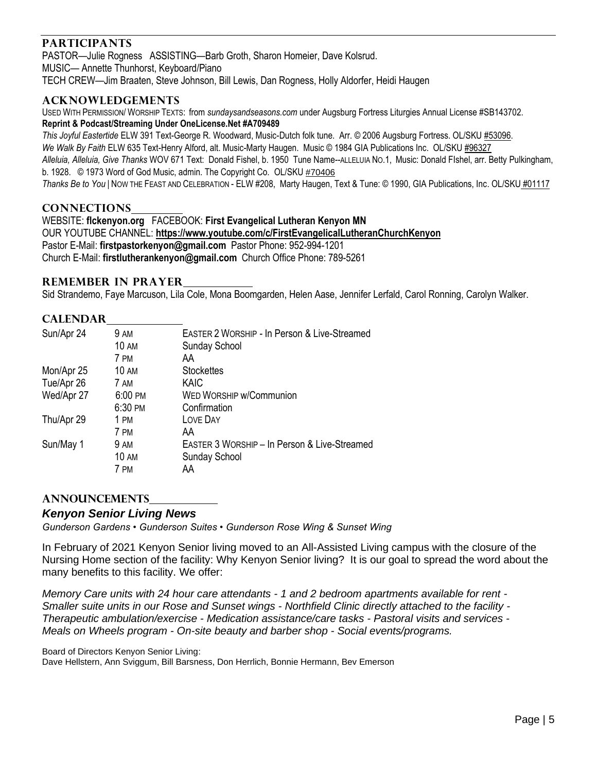# **PARTICIPANTS**

PASTOR—Julie Rogness ASSISTING—Barb Groth, Sharon Homeier, Dave Kolsrud. MUSIC— Annette Thunhorst, Keyboard/Piano TECH CREW—Jim Braaten, Steve Johnson, Bill Lewis, Dan Rogness, Holly Aldorfer, Heidi Haugen

# **ACKNOWLEDGEMENTS**

USED WITH PERMISSION/ WORSHIP TEXTS: from *sundaysandseasons.com* under Augsburg Fortress Liturgies Annual License #SB143702. **Reprint & Podcast/Streaming Under OneLicense.Net #A709489** 

*This Joyful Eastertide* ELW 391 Text-George R. Woodward, Music-Dutch folk tune. Arr. © 2006 Augsburg Fortress. OL/SKU #53096. *We Walk By Faith* ELW 635 Text-Henry Alford, alt. Music-Marty Haugen. Music © 1984 GIA Publications Inc. OL/SKU [#96327](https://www.onelicense.net/search?term=We+walk+by+faith&hymnal=&hymn=&page=2&type=submit-term&addition=&downloads-only=false)  *Alleluia, Alleluia, Give Thanks* WOV 671 Text: Donald Fishel, b. 1950 Tune Name--ALLELUIA NO.1, Music: Donald FIshel, arr. Betty Pulkingham, b. 1928. © 1973 Word of God Music, admin. The Copyright Co. OL/SKU [#70406](https://www.onelicense.net/search?term=Alleluia%2C+Alleluia%2C+Give+Thanks+to+the+Risen+Lord+&hymnal=&hymn=&page=1&type=submit-term&addition=&downloads-only=false) *Thanks Be to You* | NOW THE FEAST AND CELEBRATION - ELW #208, Marty Haugen, Text & Tune: © 1990, GIA Publications, Inc. OL/SKU [#01117](https://www.onelicense.net/search?term=Praise+to+You+O+God&hymnal=&hymn=&page=1&type=submit-term&addition=&downloads-only=false)

### **CONNECTIONS**

WEBSITE: **flckenyon.org** FACEBOOK: **First Evangelical Lutheran Kenyon MN** OUR YOUTUBE CHANNEL: **<https://www.youtube.com/c/FirstEvangelicalLutheranChurchKenyon>** Pastor E-Mail: **[firstpastorkenyon@gmail.com](mailto:firstpastorkenyon@gmail.com)** Pastor Phone: 952-994-1201 Church E-Mail: **[firstlutherankenyon@gmail.com](mailto:firstlutherankenyon@gmail.com)** Church Office Phone: 789-5261

### **REMEMBER IN PRAYER**

Sid Strandemo, Faye Marcuson, Lila Cole, Mona Boomgarden, Helen Aase, Jennifer Lerfald, Carol Ronning, Carolyn Walker.

# **CALENDAR**

| Sun/Apr 24 | 9 AM              | EASTER 2 WORSHIP - In Person & Live-Streamed |
|------------|-------------------|----------------------------------------------|
|            | <b>10 AM</b>      | <b>Sunday School</b>                         |
|            | 7 PM              | AA                                           |
| Mon/Apr 25 | 10 AM             | <b>Stockettes</b>                            |
| Tue/Apr 26 | 7 AM              | <b>KAIC</b>                                  |
| Wed/Apr 27 | $6:00 \text{ PM}$ | <b>WED WORSHIP w/Communion</b>               |
|            | 6:30 PM           | Confirmation                                 |
| Thu/Apr 29 | 1 PM              | LOVE DAY                                     |
|            | 7 PM              | AA                                           |
| Sun/May 1  | 9 AM              | EASTER 3 WORSHIP - In Person & Live-Streamed |
|            | 10 AM             | <b>Sunday School</b>                         |
|            | 7 PM              | AA                                           |

# **ANNOUNCEMENTS**

### *Kenyon Senior Living News*

*Gunderson Gardens • Gunderson Suites • Gunderson Rose Wing & Sunset Wing*

In February of 2021 Kenyon Senior living moved to an All-Assisted Living campus with the closure of the Nursing Home section of the facility: Why Kenyon Senior living? It is our goal to spread the word about the many benefits to this facility. We offer:

*Memory Care units with 24 hour care attendants - 1 and 2 bedroom apartments available for rent - Smaller suite units in our Rose and Sunset wings - Northfield Clinic directly attached to the facility - Therapeutic ambulation/exercise - Medication assistance/care tasks - Pastoral visits and services - Meals on Wheels program - On-site beauty and barber shop - Social events/programs.*

Board of Directors Kenyon Senior Living:

Dave Hellstern, Ann Sviggum, Bill Barsness, Don Herrlich, Bonnie Hermann, Bev Emerson